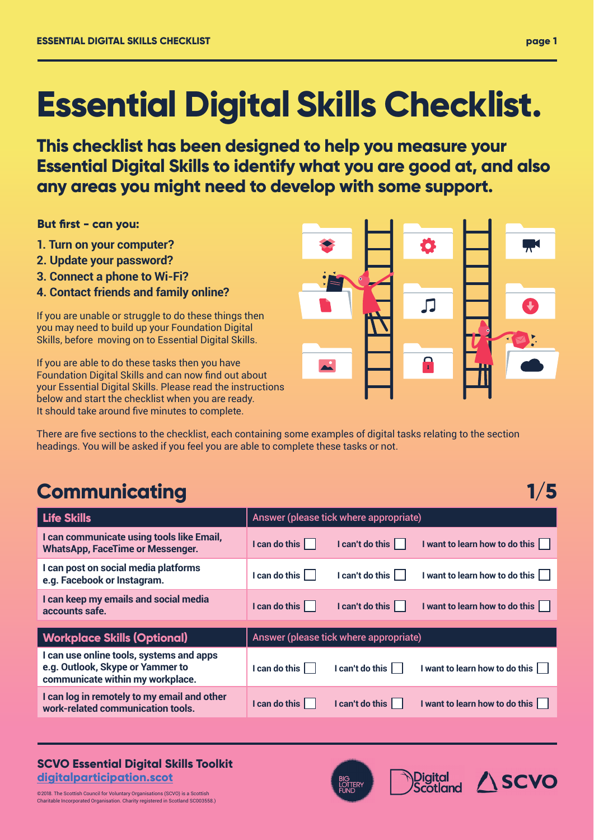# **Essential Digital Skills Checklist.**

**This checklist has been designed to help you measure your Essential Digital Skills to identify what you are good at, and also any areas you might need to develop with some support.**

**But first - can you:** 

- **1. Turn on your computer?**
- **2. Update your password?**
- **3. Connect a phone to Wi-Fi?**
- **4. Contact friends and family online?**

If you are unable or struggle to do these things then you may need to build up your Foundation Digital Skills, before moving on to Essential Digital Skills.

If you are able to do these tasks then you have Foundation Digital Skills and can now find out about your Essential Digital Skills. Please read the instructions below and start the checklist when you are ready. It should take around five minutes to complete.

Л

There are five sections to the checklist, each containing some examples of digital tasks relating to the section headings. You will be asked if you feel you are able to complete these tasks or not.

## **Communicating 1/5**

| <b>Life Skills</b>                                                                                               | Answer (please tick where appropriate)                                     |  |  |  |
|------------------------------------------------------------------------------------------------------------------|----------------------------------------------------------------------------|--|--|--|
| I can communicate using tools like Email,<br><b>WhatsApp, FaceTime or Messenger.</b>                             | I can't do this<br>I want to learn how to do this    <br>I can do this     |  |  |  |
| I can post on social media platforms<br>e.g. Facebook or Instagram.                                              | I can do this<br>I can't do this $ $<br>I want to learn how to do this     |  |  |  |
| I can keep my emails and social media<br>accounts safe.                                                          | I can do this<br>I can't do this<br>I want to learn how to do this         |  |  |  |
|                                                                                                                  |                                                                            |  |  |  |
|                                                                                                                  |                                                                            |  |  |  |
| <b>Workplace Skills (Optional)</b>                                                                               | Answer (please tick where appropriate)                                     |  |  |  |
| I can use online tools, systems and apps<br>e.g. Outlook, Skype or Yammer to<br>communicate within my workplace. | I can do this<br>I can't do this<br>I want to learn how to do this $\, \,$ |  |  |  |
| I can log in remotely to my email and other<br>work-related communication tools.                                 | I can do this<br>I can't do this I<br>I want to learn how to do this       |  |  |  |

#### **SCVO Essential Digital Skills Toolkit digitalparticipation.scot**

©2018. The Scottish Council for Voluntary Organisations (SCVO) is a Scottish Charitable Incorporated Organisation. Charity registered in Scotland SC003558.)





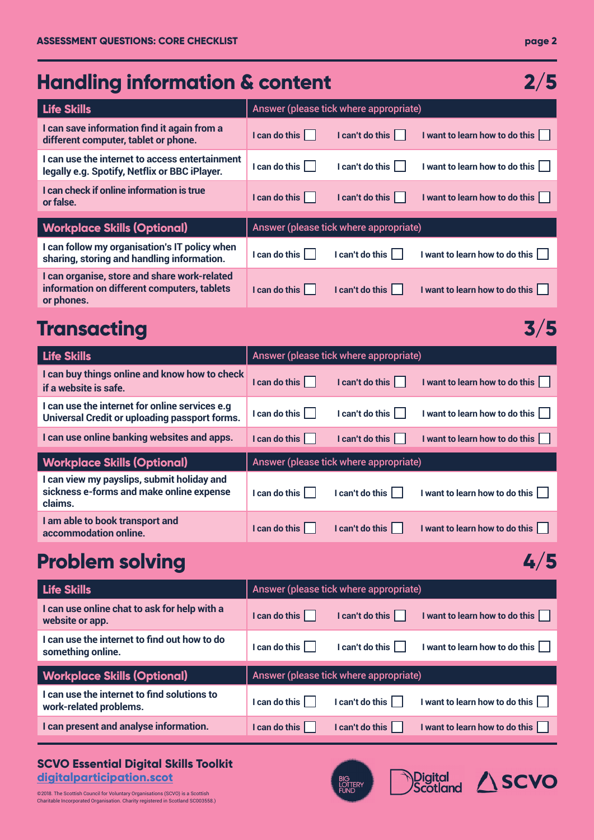#### **page 2**

Digital **ASCVO** 

BIG<br>LOTTERY<br>FUND

| <b>Handling information &amp; content</b><br>2/5                                                          |                                        |                                        |                                    |  |  |
|-----------------------------------------------------------------------------------------------------------|----------------------------------------|----------------------------------------|------------------------------------|--|--|
| <b>Life Skills</b>                                                                                        |                                        | Answer (please tick where appropriate) |                                    |  |  |
| I can save information find it again from a<br>different computer, tablet or phone.                       | I can do this                          | I can't do this $ $                    | I want to learn how to do this     |  |  |
| I can use the internet to access entertainment<br>legally e.g. Spotify, Netflix or BBC iPlayer.           | $l$ can do this $  \cdot  $            | I can't do this                        | I want to learn how to do this     |  |  |
| I can check if online information is true<br>or false.                                                    | I can do this                          | $I can't do this \vert \vert$          | I want to learn how to do this     |  |  |
| <b>Workplace Skills (Optional)</b>                                                                        | Answer (please tick where appropriate) |                                        |                                    |  |  |
| I can follow my organisation's IT policy when<br>sharing, storing and handling information.               | I can do this $\vert$                  | $l$ can't do this $  \cdot  $          | I want to learn how to do this     |  |  |
| I can organise, store and share work-related<br>information on different computers, tablets<br>or phones. | I can do this                          | I can't do this                        | I want to learn how to do this     |  |  |
| Transacting                                                                                               |                                        |                                        | 3/5                                |  |  |
| <b>Life Skills</b>                                                                                        |                                        | Answer (please tick where appropriate) |                                    |  |  |
| I can buy things online and know how to check<br>if a website is safe.                                    | I can do this                          | I can't do this                        | I want to learn how to do this     |  |  |
| I can use the internet for online services e.g<br>Universal Credit or uploading passport forms.           | I can do this                          | I can't do this                        | I want to learn how to do this $ $ |  |  |
| I can use online banking websites and apps.                                                               | I can do this                          | I can't do this                        | I want to learn how to do this     |  |  |
| <b>Workplace Skills (Optional)</b>                                                                        |                                        | Answer (please tick where appropriate) |                                    |  |  |
| I can view my payslips, submit holiday and<br>sickness e-forms and make online expense<br>claims.         | $l$ can do this $  \cdot  $            | $l$ can't do this $  \cdot  $          | I want to learn how to do this     |  |  |
| I am able to book transport and<br>accommodation online.                                                  | I can do this                          | I can't do this                        | I want to learn how to do this     |  |  |
| <b>Problem solving</b>                                                                                    |                                        |                                        | 4/5                                |  |  |
| <b>Life Skills</b>                                                                                        |                                        | Answer (please tick where appropriate) |                                    |  |  |
| I can use online chat to ask for help with a<br>website or app.                                           | I can do this                          | I can't do this                        | I want to learn how to do this     |  |  |
| I can use the internet to find out how to do<br>something online.                                         | I can do this                          | I can't do this                        | I want to learn how to do this     |  |  |
| <b>Workplace Skills (Optional)</b>                                                                        |                                        | Answer (please tick where appropriate) |                                    |  |  |
| I can use the internet to find solutions to<br>work-related problems.                                     | I can do this $ $                      | $l$ can't do this $  \cdot  $          | I want to learn how to do this     |  |  |
| I can present and analyse information.                                                                    | I can do this                          | $l$ can't do this $\vert$              | I want to learn how to do this     |  |  |
|                                                                                                           |                                        |                                        |                                    |  |  |

#### **SCVO Essential Digital Skills Toolkit digitalparticipation.scot**

©2018. The Scottish Council for Voluntary Organisations (SCVO) is a Scottish Charitable Incorporated Organisation. Charity registered in Scotland SC003558.)